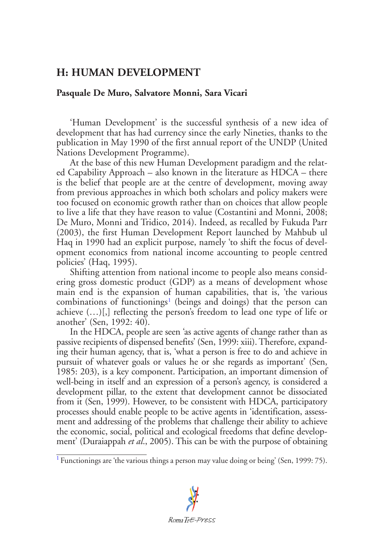## **H: HUMAN DEVELOPMENT**

## **Pasquale De Muro, Salvatore Monni, Sara Vicari**

'Human Development' is the successful synthesis of a new idea of development that has had currency since the early Nineties, thanks to the publication in May 1990 of the first annual report of the UNDP (United Nations Development Programme).

At the base of this new Human Development paradigm and the related Capability Approach – also known in the literature as HDCA – there is the belief that people are at the centre of development, moving away from previous approaches in which both scholars and policy makers were too focused on economic growth rather than on choices that allow people to live a life that they have reason to value (Costantini and Monni, 2008; De Muro, Monni and Tridico, 2014). Indeed, as recalled by Fukuda Parr (2003), the first Human Development Report launched by Mahbub ul Haq in 1990 had an explicit purpose, namely 'to shift the focus of development economics from national income accounting to people centred policies' (Haq, 1995).

<span id="page-0-1"></span>Shifting attention from national income to people also means considering gross domestic product (GDP) as a means of development whose main end is the expansion of human capabilities, that is, 'the various combinations of functionings<sup>[1](#page-0-0)</sup> (beings and doings) that the person can achieve (…)[,] reflecting the person's freedom to lead one type of life or another' (Sen, 1992: 40).

In the HDCA, people are seen 'as active agents of change rather than as passive recipients of dispensed benefits' (Sen, 1999: xiii). Therefore, expanding their human agency, that is, 'what a person is free to do and achieve in pursuit of whatever goals or values he or she regards as important' (Sen, 1985: 203), is a key component. Participation, an important dimension of well-being in itself and an expression of a person's agency, is considered a development pillar, to the extent that development cannot be dissociated from it (Sen, 1999). However, to be consistent with HDCA, participatory processes should enable people to be active agents in 'identification, assessment and addressing of the problems that challenge their ability to achieve the economic, social, political and ecological freedoms that define development' (Duraiappah *et al*., 2005). This can be with the purpose of obtaining

<span id="page-0-0"></span><sup>&</sup>lt;sup>[1](#page-0-1)</sup> Functionings are 'the various things a person may value doing or being' (Sen, 1999: 75).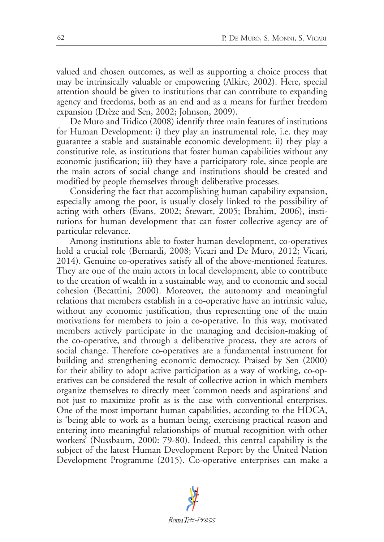valued and chosen outcomes, as well as supporting a choice process that may be intrinsically valuable or empowering (Alkire, 2002). Here, special attention should be given to institutions that can contribute to expanding agency and freedoms, both as an end and as a means for further freedom expansion (Drèze and Sen, 2002; Johnson, 2009).

De Muro and Tridico (2008) identify three main features of institutions for Human Development: i) they play an instrumental role, i.e. they may guarantee a stable and sustainable economic development; ii) they play a constitutive role, as institutions that foster human capabilities without any economic justification; iii) they have a participatory role, since people are the main actors of social change and institutions should be created and modified by people themselves through deliberative processes.

Considering the fact that accomplishing human capability expansion, especially among the poor, is usually closely linked to the possibility of acting with others (Evans, 2002; Stewart, 2005; Ibrahim, 2006), institutions for human development that can foster collective agency are of particular relevance.

Among institutions able to foster human development, co-operatives hold a crucial role (Bernardi, 2008; Vicari and De Muro, 2012; Vicari, 2014). Genuine co-operatives satisfy all of the above-mentioned features. They are one of the main actors in local development, able to contribute to the creation of wealth in a sustainable way, and to economic and social cohesion (Becattini, 2000). Moreover, the autonomy and meaningful relations that members establish in a co-operative have an intrinsic value, without any economic justification, thus representing one of the main motivations for members to join a co-operative. In this way, motivated members actively participate in the managing and decision-making of the co-operative, and through a deliberative process, they are actors of social change. Therefore co-operatives are a fundamental instrument for building and strengthening economic democracy. Praised by Sen (2000) for their ability to adopt active participation as a way of working, co-operatives can be considered the result of collective action in which members organize themselves to directly meet 'common needs and aspirations' and not just to maximize profit as is the case with conventional enterprises. One of the most important human capabilities, according to the HDCA, is 'being able to work as a human being, exercising practical reason and entering into meaningful relationships of mutual recognition with other workers' (Nussbaum, 2000: 79-80). Indeed, this central capability is the subject of the latest Human Development Report by the United Nation Development Programme (2015). Co-operative enterprises can make a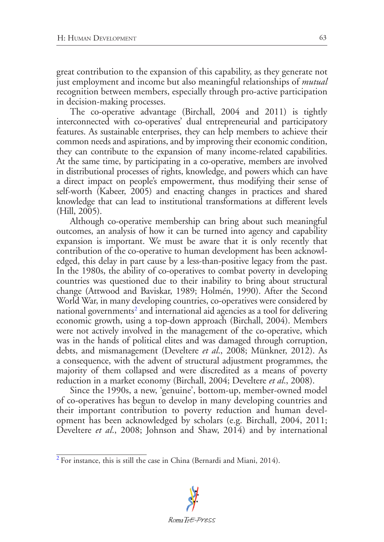great contribution to the expansion of this capability, as they generate not just employment and income but also meaningful relationships of *mutual* recognition between members, especially through pro-active participation in decision-making processes.

The co-operative advantage (Birchall, 2004 and 2011) is tightly interconnected with co-operatives' dual entrepreneurial and participatory features. As sustainable enterprises, they can help members to achieve their common needs and aspirations, and by improving their economic condition, they can contribute to the expansion of many income-related capabilities. At the same time, by participating in a co-operative, members are involved in distributional processes of rights, knowledge, and powers which can have a direct impact on people's empowerment, thus modifying their sense of self-worth (Kabeer, 2005) and enacting changes in practices and shared knowledge that can lead to institutional transformations at different levels (Hill, 2005).

Although co-operative membership can bring about such meaningful outcomes, an analysis of how it can be turned into agency and capability expansion is important. We must be aware that it is only recently that contribution of the co-operative to human development has been acknowledged, this delay in part cause by a less-than-positive legacy from the past. In the 1980s, the ability of co-operatives to combat poverty in developing countries was questioned due to their inability to bring about structural change (Attwood and Baviskar, 1989; Holmén, 1990). After the Second World War, in many developing countries, co-operatives were considered by national governments<sup>[2](#page-2-0)</sup> and international aid agencies as a tool for delivering economic growth, using a top-down approach (Birchall, 2004). Members were not actively involved in the management of the co-operative, which was in the hands of political elites and was damaged through corruption, debts, and mismanagement (Develtere *et al*., 2008; Münkner, 2012). As a consequence, with the advent of structural adjustment programmes, the majority of them collapsed and were discredited as a means of poverty reduction in a market economy (Birchall, 2004; Develtere *et al*., 2008).

<span id="page-2-1"></span>Since the 1990s, a new, 'genuine', bottom-up, member-owned model of co-operatives has begun to develop in many developing countries and their important contribution to poverty reduction and human development has been acknowledged by scholars (e.g. Birchall, 2004, 2011; Develtere *et al*., 2008; Johnson and Shaw, 2014) and by international

<span id="page-2-0"></span>[<sup>2</sup>](#page-2-1) For instance, this is still the case in China (Bernardi and Miani, 2014).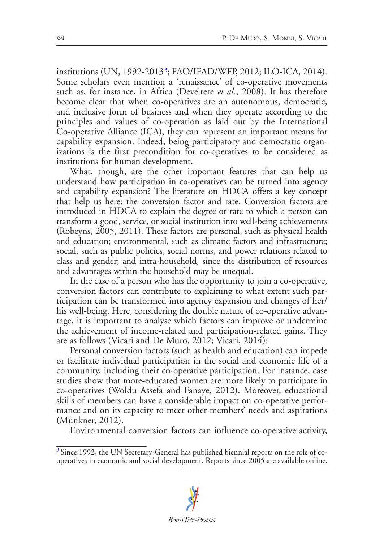<span id="page-3-1"></span>institutions (UN, 1992-2013[3](#page-3-0) ; FAO/IFAD/WFP, 2012; ILO-ICA, 2014). Some scholars even mention a 'renaissance' of co-operative movements such as, for instance, in Africa (Develtere *et al*., 2008). It has therefore become clear that when co-operatives are an autonomous, democratic, and inclusive form of business and when they operate according to the principles and values of co-operation as laid out by the International Co-operative Alliance (ICA), they can represent an important means for capability expansion. Indeed, being participatory and democratic organizations is the first precondition for co-operatives to be considered as institutions for human development.

What, though, are the other important features that can help us understand how participation in co-operatives can be turned into agency and capability expansion? The literature on HDCA offers a key concept that help us here: the conversion factor and rate. Conversion factors are introduced in HDCA to explain the degree or rate to which a person can transform a good, service, or social institution into well-being achievements (Robeyns, 2005, 2011). These factors are personal, such as physical health and education; environmental, such as climatic factors and infrastructure; social, such as public policies, social norms, and power relations related to class and gender; and intra-household, since the distribution of resources and advantages within the household may be unequal.

In the case of a person who has the opportunity to join a co-operative, conversion factors can contribute to explaining to what extent such participation can be transformed into agency expansion and changes of her/ his well-being. Here, considering the double nature of co-operative advantage, it is important to analyse which factors can improve or undermine the achievement of income-related and participation-related gains. They are as follows (Vicari and De Muro, 2012; Vicari, 2014):

Personal conversion factors (such as health and education) can impede or facilitate individual participation in the social and economic life of a community, including their co-operative participation. For instance, case studies show that more-educated women are more likely to participate in co-operatives (Woldu Assefa and Fanaye, 2012). Moreover, educational skills of members can have a considerable impact on co-operative performance and on its capacity to meet other members' needs and aspirations (Münkner, 2012).

Environmental conversion factors can influence co-operative activity,

<span id="page-3-0"></span><sup>&</sup>lt;sup>[3](#page-3-1)</sup> Since 1992, the UN Secretary-General has published biennial reports on the role of cooperatives in economic and social development. Reports since 2005 are available online.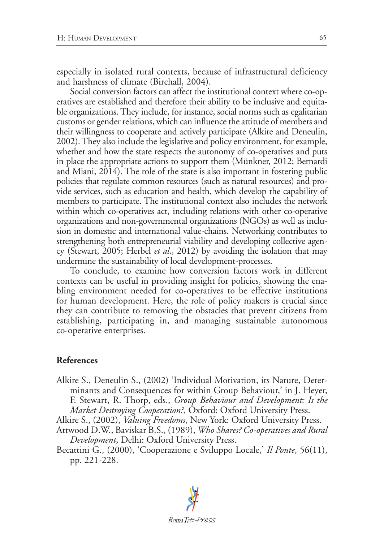especially in isolated rural contexts, because of infrastructural deficiency and harshness of climate (Birchall, 2004).

Social conversion factors can affect the institutional context where co-operatives are established and therefore their ability to be inclusive and equitable organizations. They include, for instance, social norms such as egalitarian customs or gender relations, which can influence the attitude of members and their willingness to cooperate and actively participate (Alkire and Deneulin, 2002). They also include the legislative and policy environment, for example, whether and how the state respects the autonomy of co-operatives and puts in place the appropriate actions to support them (Münkner, 2012; Bernardi and Miani, 2014). The role of the state is also important in fostering public policies that regulate common resources (such as natural resources) and provide services, such as education and health, which develop the capability of members to participate. The institutional context also includes the network within which co-operatives act, including relations with other co-operative organizations and non-governmental organizations (NGOs) as well as inclusion in domestic and international value-chains. Networking contributes to strengthening both entrepreneurial viability and developing collective agency (Stewart, 2005; Herbel *et al*., 2012) by avoiding the isolation that may undermine the sustainability of local development-processes.

To conclude, to examine how conversion factors work in different contexts can be useful in providing insight for policies, showing the enabling environment needed for co-operatives to be effective institutions for human development. Here, the role of policy makers is crucial since they can contribute to removing the obstacles that prevent citizens from establishing, participating in, and managing sustainable autonomous co-operative enterprises.

## **References**

Alkire S., Deneulin S., (2002) 'Individual Motivation, its Nature, Determinants and Consequences for within Group Behaviour,' in J. Heyer, F. Stewart, R. Thorp, eds., *Group Behaviour and Development: Is the Market Destroying Cooperation?*, Oxford: Oxford University Press.

Alkire S., (2002), *Valuing Freedoms*, New York: Oxford University Press.

Attwood D.W., Baviskar B.S., (1989), *Who Shares? Co-operatives and Rural Development*, Delhi: Oxford University Press.

Becattini G., (2000), 'Cooperazione e Sviluppo Locale,' *Il Ponte*, 56(11), pp. 221-228.

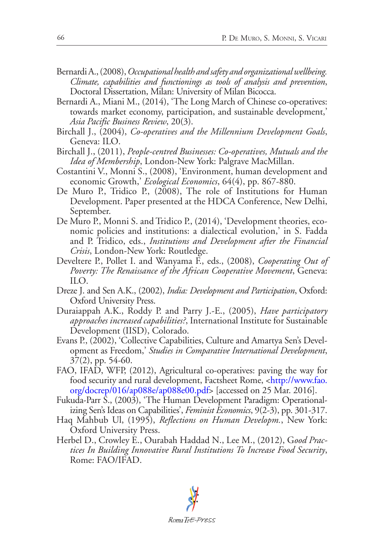- Bernardi A., (2008), *Occupational health and safety and organizational wellbeing. Climate, capabilities and functionings as tools of analysis and prevention*, Doctoral Dissertation, Milan: University of Milan Bicocca.
- Bernardi A., Miani M., (2014), 'The Long March of Chinese co-operatives: towards market economy, participation, and sustainable development,' *Asia Pacific Business Review*, 20(3).
- Birchall J., (2004), *Co-operatives and the Millennium Development Goals*, Geneva: ILO.
- Birchall J., (2011), *People-centred Businesses: Co-operatives, Mutuals and the Idea of Membership*, London-New York: Palgrave MacMillan.
- Costantini V., Monni S., (2008), 'Environment, human development and economic Growth,' *Ecological Economics*, 64(4), pp. 867-880.
- De Muro P., Tridico P., (2008), The role of Institutions for Human Development. Paper presented at the HDCA Conference, New Delhi, September.
- De Muro P., Monni S. and Tridico P., (2014), 'Development theories, economic policies and institutions: a dialectical evolution,' in S. Fadda and P. Tridico, eds., *Institutions and Development after the Financial Crisis*, London-New York: Routledge.
- Develtere P., Pollet I. and Wanyama F., eds., (2008), *Cooperating Out of Poverty: The Renaissance of the African Cooperative Movement*, Geneva: ILO.
- Dreze J. and Sen A.K., (2002), *India: Development and Participation*, Oxford: Oxford University Press.
- Duraiappah A.K., Roddy P. and Parry J.-E., (2005), *Have participatory approaches increased capabilities?*, International Institute for Sustainable Development (IISD), Colorado.
- Evans P., (2002), 'Collective Capabilities, Culture and Amartya Sen's Development as Freedom,' *Studies in Comparative International Development*, 37(2), pp. 54-60.
- FAO, IFAD, WFP, (2012), Agricultural co-operatives: paving the way for food security and rural development, Factsheet Rome, [<http://www.fao.](http://www.fao.org/docrep/016/ap088e/ap088e00.pdf) [org/docrep/016/ap088e/ap088e00.pdf](http://www.fao.org/docrep/016/ap088e/ap088e00.pdf)> [accessed on 25 Mar. 2016].
- Fukuda-Parr S., (2003), 'The Human Development Paradigm: Operationalizing Sen's Ideas on Capabilities', *Feminist Economics*, 9(2-3), pp. 301-317.
- Haq Mahbub Ul, (1995), *Reflections on Human Developm.*, New York: Oxford University Press.
- Herbel D., Crowley E., Ourabah Haddad N., Lee M., (2012), G*ood Practices In Building Innovative Rural Institutions To Increase Food Security*, Rome: FAO/IFAD.

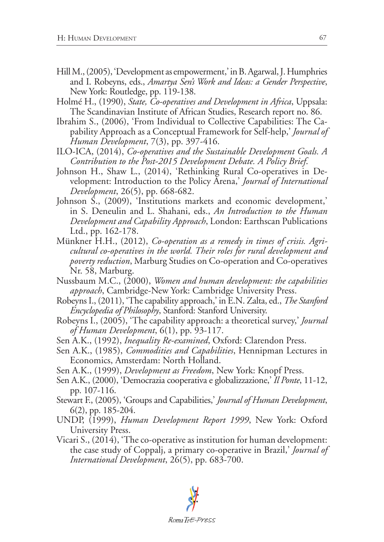- Hill M., (2005), 'Development as empowerment,' in B. Agarwal, J. Humphries and I. Robeyns, eds., *Amartya Sen's Work and Ideas: a Gender Perspective*, New York: Routledge, pp. 119-138.
- Holmé H., (1990), *State, Co-operatives and Development in Africa*, Uppsala: The Scandinavian Institute of African Studies, Research report no. 86.
- Ibrahim S., (2006), 'From Individual to Collective Capabilities: The Capability Approach as a Conceptual Framework for Self-help,' *Journal of Human Development*, 7(3), pp. 397-416.
- ILO-ICA, (2014), *Co-operatives and the Sustainable Development Goals. A Contribution to the Post-2015 Development Debate. A Policy Brief*.
- Johnson H., Shaw L., (2014), 'Rethinking Rural Co-operatives in Development: Introduction to the Policy Arena,' *Journal of International Development*, 26(5), pp. 668-682.
- Johnson S., (2009), 'Institutions markets and economic development,' in S. Deneulin and L. Shahani, eds., *An Introduction to the Human Development and Capability Approach*, London: Earthscan Publications Ltd., pp. 162-178.
- Münkner H.H., (2012), *Co-operation as a remedy in times of crisis. Agricultural co-operatives in the world. Their roles for rural development and poverty reduction*, Marburg Studies on Co-operation and Co-operatives Nr. 58, Marburg.
- Nussbaum M.C., (2000), *Women and human development: the capabilities approach*, Cambridge-New York: Cambridge University Press.
- Robeyns I., (2011), 'The capability approach,' in E.N. Zalta, ed., *The Stanford Encyclopedia of Philosophy*, Stanford: Stanford University.
- Robeyns I., (2005), 'The capability approach: a theoretical survey,' *Journal of Human Development*, 6(1), pp. 93-117.
- Sen A.K., (1992), *Inequality Re-examined*, Oxford: Clarendon Press.
- Sen A.K., (1985), *Commodities and Capabilities*, Hennipman Lectures in Economics, Amsterdam: North Holland.
- Sen A.K., (1999), *Development as Freedom*, New York: Knopf Press.
- Sen A.K., (2000), 'Democrazia cooperativa e globalizzazione,' *Il Ponte*, 11-12, pp. 107-116.
- Stewart F., (2005), 'Groups and Capabilities,' *Journal of Human Development*, 6(2), pp. 185-204.
- UNDP, (1999), *Human Development Report 1999*, New York: Oxford University Press.
- Vicari S., (2014), 'The co-operative as institution for human development: the case study of Coppalj, a primary co-operative in Brazil,' *Journal of International Development*, 26(5), pp. 683-700.